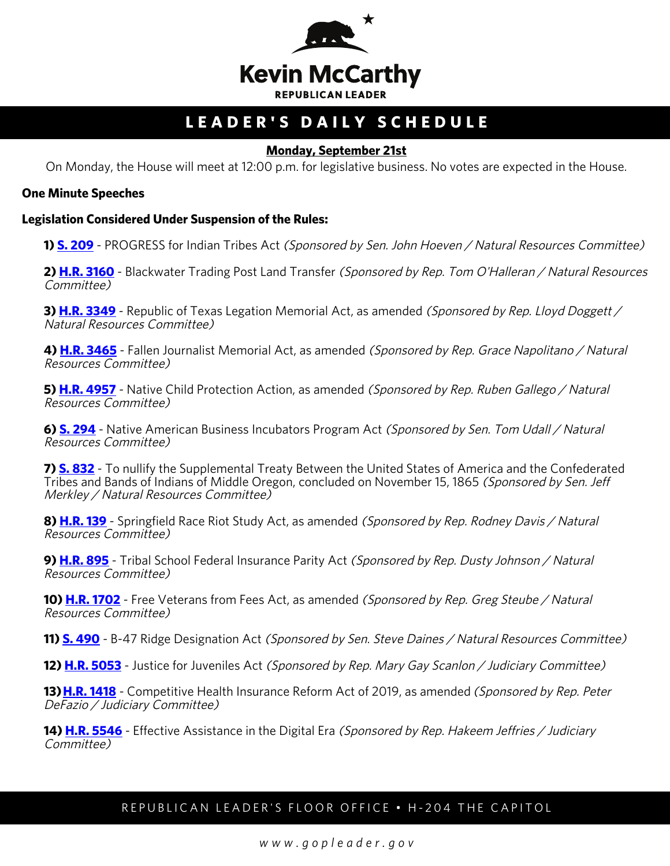

# **LEADER'S DAILY SCHEDULE**

## **Monday, September 21st**

On Monday, the House will meet at 12:00 p.m. for legislative business. No votes are expected in the House.

#### **One Minute Speeches**

#### **Legislation Considered Under Suspension of the Rules:**

**1) <b>S. 209** - PROGRESS for Indian Tribes Act (Sponsored by Sen. John Hoeven / Natural Resources Committee)

**2) [H.R. 3160](http://docs.house.gov/billsthisweek/20200921/BILLS-116hr3160-SUS.pdf)** - Blackwater Trading Post Land Transfer (Sponsored by Rep. Tom O'Halleran / Natural Resources Committee)

**3) <b>[H.R. 3349](http://docs.house.gov/billsthisweek/20200921/BILLS-116hr3349-SUS.pdf)** - Republic of Texas Legation Memorial Act, as amended *(Sponsored by Rep. Lloyd Doggett* / Natural Resources Committee)

**4) [H.R. 3465](http://docs.house.gov/billsthisweek/20200921/BILLS-116hr3465-SUS.pdf)** - Fallen Journalist Memorial Act, as amended (Sponsored by Rep. Grace Napolitano / Natural Resources Committee)

**5) <b>H.R. 4957** - Native Child Protection Action, as amended (Sponsored by Rep. Ruben Gallego / Natural Resources Committee)

**6) [S. 294](http://docs.house.gov/billsthisweek/20200921/BILLS-116s294-SUS.pdf)** - Native American Business Incubators Program Act (Sponsored by Sen. Tom Udall / Natural Resources Committee)

**7) [S. 832](http://docs.house.gov/billsthisweek/20200921/BILLS-116s832-SUS.pdf)** - To nullify the Supplemental Treaty Between the United States of America and the Confederated Tribes and Bands of Indians of Middle Oregon, concluded on November 15, 1865 (Sponsored by Sen. Jeff Merkley / Natural Resources Committee)

**8) [H.R. 139](http://docs.house.gov/billsthisweek/20200921/BILLS-116hr139-SUS.pdf)** - Springfield Race Riot Study Act, as amended (Sponsored by Rep. Rodney Davis / Natural Resources Committee)

**9) [H.R. 895](http://docs.house.gov/billsthisweek/20200921/BILLS-116hr895-SUS.pdf)** - Tribal School Federal Insurance Parity Act (Sponsored by Rep. Dusty Johnson / Natural Resources Committee)

**10) <b>[H.R. 1702](http://docs.house.gov/billsthisweek/20200921/BILLS-116hr1702-SUS.pdf)** - Free Veterans from Fees Act, as amended (Sponsored by Rep. Greg Steube / Natural Resources Committee)

**11) [S. 490](http://docs.house.gov/billsthisweek/20200921/BILLS-116s490-SuS.pdf)** - B-47 Ridge Designation Act *(Sponsored by Sen. Steve Daines / Natural Resources Committee)* 

**12) <b>[H.R. 5053](http://docs.house.gov/billsthisweek/20200921/BILLS-116hr5053-SUS.pdf)** - Justice for Juveniles Act *(Sponsored by Rep. Mary Gay Scanlon / Judiciary Committee)* 

**13) <b>[H.R. 1418](https://docs.house.gov/billsthisweek/20200921/BILLS-116hr1418-SUSv1.pdf)** - Competitive Health Insurance Reform Act of 2019, as amended (Sponsored by Rep. Peter DeFazio / Judiciary Committee)

**14) <b>[H.R. 5546](http://docs.house.gov/billsthisweek/20200921/BILLS-116hr5546-SUS.pdf)** - Effective Assistance in the Digital Era *(Sponsored by Rep. Hakeem Jeffries / Judiciary* Committee)

## REPUBLICAN LEADER'S FLOOR OFFICE • H-204 THE CAPITOL

*www.gopleader.gov*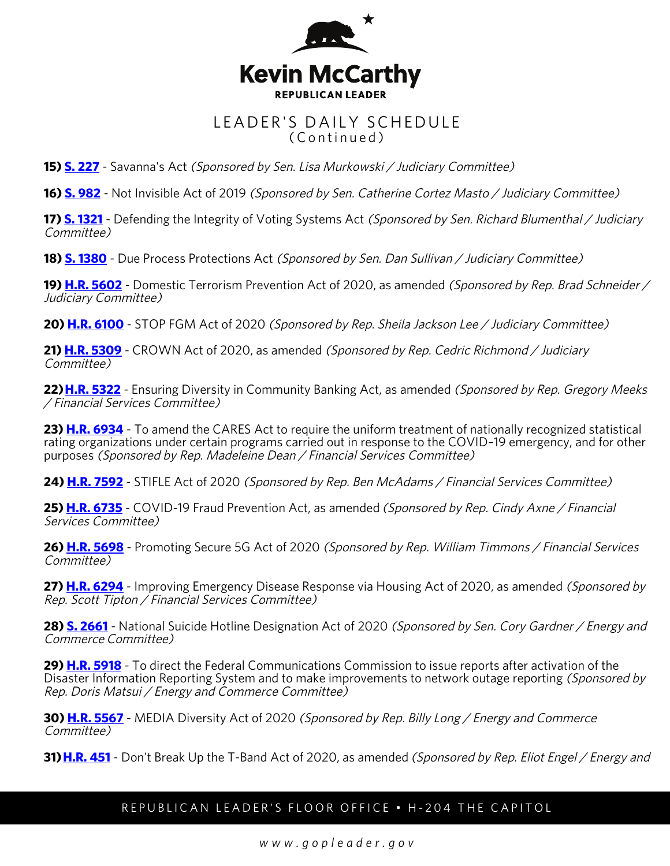

# LEADER'S DAILY SCHEDULE (Continued)

**15) <b>[S. 227](http://docs.house.gov/billsthisweek/20200921/BILLS-116s227-SUSv1.pdf)** - Savanna's Act (Sponsored by Sen. Lisa Murkowski / Judiciary Committee)

**16) [S. 982](http://docs.house.gov/billsthisweek/20200921/BILLS-116s982-SUS.pdf)** - Not Invisible Act of 2019 (Sponsored by Sen. Catherine Cortez Masto / Judiciary Committee)

**17) <b>[S. 1321](http://docs.house.gov/billsthisweek/20200921/BILLS-116s1321-SUS.pdf)** - Defending the Integrity of Voting Systems Act *(Sponsored by Sen. Richard Blumenthal / Judiciary* Committee)

**18) [S. 1380](http://docs.house.gov/billsthisweek/20200921/BILLS-116s1380-SUS.pdf)** - Due Process Protections Act (Sponsored by Sen. Dan Sullivan / Judiciary Committee)

**19) <b>H.R. 5602** - Domestic Terrorism Prevention Act of 2020, as amended *(Sponsored by Rep. Brad Schneider /* Judiciary Committee)

20) **[H.R. 6100](http://docs.house.gov/billsthisweek/20200921/BILLS-116hr6100-SUS.pdf)** - STOP FGM Act of 2020 (Sponsored by Rep. Sheila Jackson Lee / Judiciary Committee)

**21) [H.R. 5309](http://docs.house.gov/billsthisweek/20200921/BILLS-116hr5309-SUS.pdf)** - CROWN Act of 2020, as amended (Sponsored by Rep. Cedric Richmond / Judiciary Committee)

22) **H.R. 5322** - Ensuring Diversity in Community Banking Act, as amended (Sponsored by Rep. Gregory Meeks / Financial Services Committee)

**23) [H.R. 6934](http://docs.house.gov/billsthisweek/20200921/BILLS-116hr6934-SUS.pdf)** - To amend the CARES Act to require the uniform treatment of nationally recognized statistical rating organizations under certain programs carried out in response to the COVID–19 emergency, and for other purposes (Sponsored by Rep. Madeleine Dean / Financial Services Committee)

**24) [H.R. 7592](http://docs.house.gov/billsthisweek/20200921/BILLS-116hr7592-SUS.pdf)** - STIFLE Act of 2020 (Sponsored by Rep. Ben McAdams / Financial Services Committee)

**25) <b>[H.R. 6735](http://docs.house.gov/billsthisweek/20200921/BILLS-116hr6735-SUS.pdf)** - COVID-19 Fraud Prevention Act, as amended (Sponsored by Rep. Cindy Axne / Financial Services Committee)

**26) [H.R. 5698](http://docs.house.gov/billsthisweek/20200921/BILLS-116hr5698-SUS.pdf)** - Promoting Secure 5G Act of 2020 (Sponsored by Rep. William Timmons / Financial Services Committee)

**27) <b>[H.R. 6294](http://docs.house.gov/billsthisweek/20200921/BILLS-116hr6294-SUS.pdf)** - Improving Emergency Disease Response via Housing Act of 2020, as amended *(Sponsored by* Rep. Scott Tipton / Financial Services Committee)

**28) [S. 2661](http://docs.house.gov/billsthisweek/20200921/BILLS-116s2661-SUS.pdf)** - National Suicide Hotline Designation Act of 2020 (Sponsored by Sen. Cory Gardner / Energy and Commerce Committee)

**29) [H.R. 5918](http://docs.house.gov/billsthisweek/20200921/BILLS-116hr5918-SUS.pdf)** - To direct the Federal Communications Commission to issue reports after activation of the Disaster Information Reporting System and to make improvements to network outage reporting (Sponsored by Rep. Doris Matsui / Energy and Commerce Committee)

**30) [H.R. 5567](http://docs.house.gov/billsthisweek/20200921/BILLS-116hr5567-SUS.pdf)** - MEDIA Diversity Act of 2020 (Sponsored by Rep. Billy Long / Energy and Commerce Committee)

**31) <b>[H.R. 451](https://docs.house.gov/billsthisweek/20200921/BILLS-116hr451-SUSv2.pdf)** - Don't Break Up the T-Band Act of 2020, as amended (Sponsored by Rep. Eliot Engel / Energy and

## REPUBLICAN LEADER'S FLOOR OFFICE • H-204 THE CAPITOL